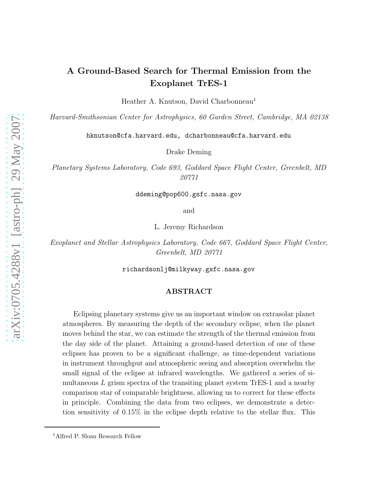# A Ground-Based Search for Thermal Emission from the Exoplanet TrES-1

Heather A. Knutson, David Charbonneau<sup>1</sup>

Harvard-Smithsonian Center for Astrophysics, 60 Garden Street, Cambridge, MA 02138

hknutson@cfa.harvard.edu, dcharbonneau@cfa.harvard.edu

Drake Deming

Planetary Systems Laboratory, Code 693, Goddard Space Flight Center, Greenbelt, MD 20771

ddeming@pop600.gsfc.nasa.gov

and

L. Jeremy Richardson

Exoplanet and Stellar Astrophysics Laboratory, Code 667, Goddard Space Flight Center, Greenbelt, MD 20771

richardsonlj@milkyway.gsfc.nasa.gov

## ABSTRACT

Eclipsing planetary systems give us an important window on extrasolar planet atmospheres. By measuring the depth of the secondary eclipse, when the planet moves behind the star, we can estimate the strength of the thermal emission from the day side of the planet. Attaining a ground-based detection of one of these eclipses has proven to be a significant challenge, as time-dependent variations in instrument throughput and atmospheric seeing and absorption overwhelm the small signal of the eclipse at infrared wavelengths. We gathered a series of simultaneous  $L$  grism spectra of the transiting planet system TrES-1 and a nearby comparison star of comparable brightness, allowing us to correct for these effects in principle. Combining the data from two eclipses, we demonstrate a detection sensitivity of 0.15% in the eclipse depth relative to the stellar flux. This

<sup>&</sup>lt;sup>1</sup>Alfred P. Sloan Research Fellow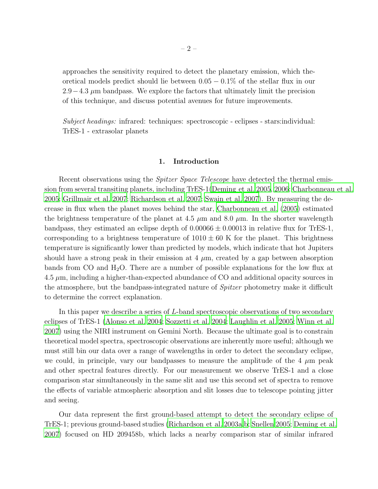approaches the sensitivity required to detect the planetary emission, which theoretical models predict should lie between  $0.05 - 0.1\%$  of the stellar flux in our 2.9−4.3 µm bandpass. We explore the factors that ultimately limit the precision of this technique, and discuss potential avenues for future improvements.

Subject headings: infrared: techniques: spectroscopic - eclipses - stars:individual: TrES-1 - extrasolar planets

## 1. Introduction

Recent observations using the *Spitzer Space Telescope* have detected the thermal emission from several transiting planets, including TrES-1[\(Deming et al.](#page-8-0) [2005,](#page-8-0) [2006;](#page-8-1) [Charbonneau et al.](#page-8-2) [2005;](#page-8-2) [Grillmair et al. 2007;](#page-8-3) [Richardson et al. 2007;](#page-9-0) [Swain et al. 2007](#page-9-1)). By measuring the decrease in flux when the planet moves behind the star, [Charbonneau](#page-8-2) et al. [\(2005\)](#page-8-2) estimated the brightness temperature of the planet at 4.5  $\mu$ m and 8.0  $\mu$ m. In the shorter wavelength bandpass, they estimated an eclipse depth of  $0.00066 \pm 0.00013$  in relative flux for TrES-1, corresponding to a brightness temperature of  $1010 \pm 60$  K for the planet. This brightness temperature is significantly lower than predicted by models, which indicate that hot Jupiters should have a strong peak in their emission at  $4 \mu m$ , created by a gap between absorption bands from CO and  $H_2O$ . There are a number of possible explanations for the low flux at  $4.5 \mu$ m, including a higher-than-expected abundance of CO and additional opacity sources in the atmosphere, but the bandpass-integrated nature of Spitzer photometry make it difficult to determine the correct explanation.

In this paper we describe a series of L-band spectroscopic observations of two secondary eclipses of TrES-1 [\(Alonso et al. 2004](#page-8-4); [Sozzetti et al. 2004](#page-9-2); [Laughlin et al. 2005;](#page-8-5) [Winn et al.](#page-9-3) [2007\)](#page-9-3) using the NIRI instrument on Gemini North. Because the ultimate goal is to constrain theoretical model spectra, spectroscopic observations are inherently more useful; although we must still bin our data over a range of wavelengths in order to detect the secondary eclipse, we could, in principle, vary our bandpasses to measure the amplitude of the  $4 \mu m$  peak and other spectral features directly. For our measurement we observe TrES-1 and a close comparison star simultaneously in the same slit and use this second set of spectra to remove the effects of variable atmospheric absorption and slit losses due to telescope pointing jitter and seeing.

Our data represent the first ground-based attempt to detect the secondary eclipse of TrES-1; previous ground-based studies [\(Richardson et al. 2003a](#page-8-6)[,b;](#page-8-7) [Snellen 2005](#page-9-4); [Deming et al.](#page-8-8) [2007\)](#page-8-8) focused on HD 209458b, which lacks a nearby comparison star of similar infrared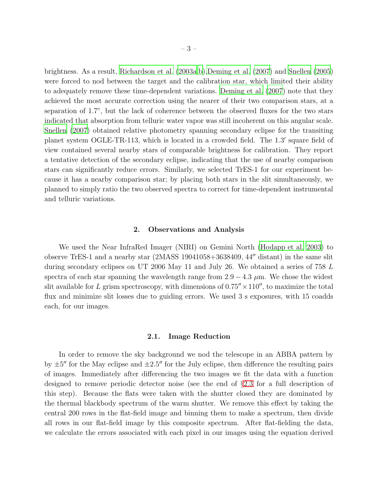brightness. As a result, [Richardson et al. \(2003a](#page-8-6)[,b](#page-8-7))[,Deming et al. \(2007](#page-8-8)) and [Snellen \(2005\)](#page-9-4) were forced to nod between the target and the calibration star, which limited their ability to adequately remove these time-dependent variations. [Deming et](#page-8-8) al. [\(2007\)](#page-8-8) note that they achieved the most accurate correction using the nearer of their two comparison stars, at a separation of 1.7°, but the lack of coherence between the observed fluxes for the two stars indicated that absorption from telluric water vapor was still incoherent on this angular scale. [Snellen \(2007](#page-9-5)) obtained relative photometry spanning secondary eclipse for the transiting planet system OGLE-TR-113, which is located in a crowded field. The 1.3′ square field of view contained several nearby stars of comparable brightness for calibration. They report a tentative detection of the secondary eclipse, indicating that the use of nearby comparison stars can significantly reduce errors. Similarly, we selected TrES-1 for our experiment because it has a nearby comparison star; by placing both stars in the slit simultaneously, we planned to simply ratio the two observed spectra to correct for time-dependent instrumental and telluric variations.

#### 2. Observations and Analysis

We used the Near InfraRed Imager (NIRI) on Gemini North [\(Hodapp et al. 2003](#page-8-9)) to observe TrES-1 and a nearby star (2MASS 19041058+3638409, 44" distant) in the same slit during secondary eclipses on UT 2006 May 11 and July 26. We obtained a series of 758 L spectra of each star spanning the wavelength range from  $2.9 - 4.3 \mu m$ . We chose the widest slit available for L grism spectroscopy, with dimensions of  $0.75'' \times 110''$ , to maximize the total flux and minimize slit losses due to guiding errors. We used 3 s exposures, with 15 coadds each, for our images.

### 2.1. Image Reduction

In order to remove the sky background we nod the telescope in an ABBA pattern by by  $\pm 5''$  for the May eclipse and  $\pm 2.5''$  for the July eclipse, then difference the resulting pairs of images. Immediately after differencing the two images we fit the data with a function designed to remove periodic detector noise (see the end of §[2.3](#page-4-0) for a full description of this step). Because the flats were taken with the shutter closed they are dominated by the thermal blackbody spectrum of the warm shutter. We remove this effect by taking the central 200 rows in the flat-field image and binning them to make a spectrum, then divide all rows in our flat-field image by this composite spectrum. After flat-fielding the data, we calculate the errors associated with each pixel in our images using the equation derived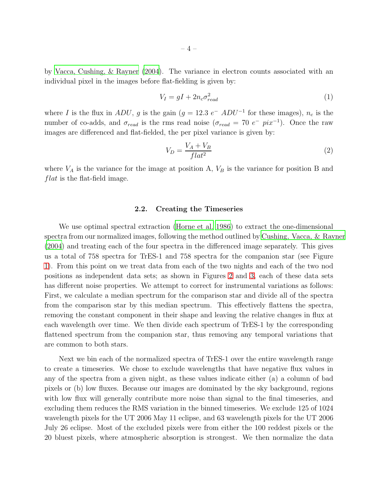by [Vacca, Cushing, & Rayner \(2004\)](#page-9-6). The variance in electron counts associated with an individual pixel in the images before flat-fielding is given by:

$$
V_I = gI + 2n_c \sigma_{read}^2 \tag{1}
$$

where I is the flux in ADU, g is the gain  $(g = 12.3 e^- ADU^{-1}$  for these images),  $n_c$  is the number of co-adds, and  $\sigma_{read}$  is the rms read noise  $(\sigma_{read} = 70 e^- p i x^{-1})$ . Once the raw images are differenced and flat-fielded, the per pixel variance is given by:

$$
V_D = \frac{V_A + V_B}{flat^2} \tag{2}
$$

where  $V_A$  is the variance for the image at position A,  $V_B$  is the variance for position B and flat is the flat-field image.

## 2.2. Creating the Timeseries

We use optimal spectral extraction [\(Horne et al. 1986\)](#page-8-10) to extract the one-dimensional spectra from our normalized images, following the method outlined by [Cushing, Vacca, & Rayner](#page-8-11) [\(2004\)](#page-8-11) and treating each of the four spectra in the differenced image separately. This gives us a total of 758 spectra for TrES-1 and 758 spectra for the companion star (see Figure [1\)](#page-11-0). From this point on we treat data from each of the two nights and each of the two nod positions as independent data sets; as shown in Figures [2](#page-12-0) and [3,](#page-13-0) each of these data sets has different noise properties. We attempt to correct for instrumental variations as follows: First, we calculate a median spectrum for the comparison star and divide all of the spectra from the comparison star by this median spectrum. This effectively flattens the spectra, removing the constant component in their shape and leaving the relative changes in flux at each wavelength over time. We then divide each spectrum of TrES-1 by the corresponding flattened spectrum from the companion star, thus removing any temporal variations that are common to both stars.

Next we bin each of the normalized spectra of TrES-1 over the entire wavelength range to create a timeseries. We chose to exclude wavelengths that have negative flux values in any of the spectra from a given night, as these values indicate either (a) a column of bad pixels or (b) low fluxes. Because our images are dominated by the sky background, regions with low flux will generally contribute more noise than signal to the final timeseries, and excluding them reduces the RMS variation in the binned timeseries. We exclude 125 of 1024 wavelength pixels for the UT 2006 May 11 eclipse, and 63 wavelength pixels for the UT 2006 July 26 eclipse. Most of the excluded pixels were from either the 100 reddest pixels or the 20 bluest pixels, where atmospheric absorption is strongest. We then normalize the data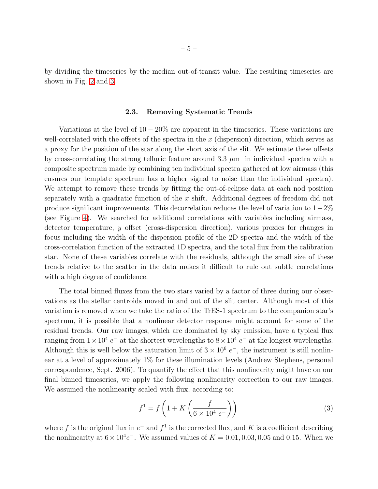<span id="page-4-0"></span>by dividing the timeseries by the median out-of-transit value. The resulting timeseries are shown in Fig. [2](#page-12-0) and [3.](#page-13-0)

#### 2.3. Removing Systematic Trends

Variations at the level of  $10-20\%$  are apparent in the timeseries. These variations are well-correlated with the offsets of the spectra in the  $x$  (dispersion) direction, which serves as a proxy for the position of the star along the short axis of the slit. We estimate these offsets by cross-correlating the strong telluric feature around 3.3  $\mu$ m in individual spectra with a composite spectrum made by combining ten individual spectra gathered at low airmass (this ensures our template spectrum has a higher signal to noise than the individual spectra). We attempt to remove these trends by fitting the out-of-eclipse data at each nod position separately with a quadratic function of the  $x$  shift. Additional degrees of freedom did not produce significant improvements. This decorrelation reduces the level of variation to 1−2% (see Figure [4\)](#page-14-0). We searched for additional correlations with variables including airmass, detector temperature, y offset (cross-dispersion direction), various proxies for changes in focus including the width of the dispersion profile of the 2D spectra and the width of the cross-correlation function of the extracted 1D spectra, and the total flux from the calibration star. None of these variables correlate with the residuals, although the small size of these trends relative to the scatter in the data makes it difficult to rule out subtle correlations with a high degree of confidence.

The total binned fluxes from the two stars varied by a factor of three during our observations as the stellar centroids moved in and out of the slit center. Although most of this variation is removed when we take the ratio of the TrES-1 spectrum to the companion star's spectrum, it is possible that a nonlinear detector response might account for some of the residual trends. Our raw images, which are dominated by sky emission, have a typical flux ranging from  $1 \times 10^4 e^-$  at the shortest wavelengths to  $8 \times 10^4 e^-$  at the longest wavelengths. Although this is well below the saturation limit of  $3 \times 10^6 e^-$ , the instrument is still nonlinear at a level of approximately 1% for these illumination levels (Andrew Stephens, personal correspondence, Sept. 2006). To quantify the effect that this nonlinearity might have on our final binned timeseries, we apply the following nonlinearity correction to our raw images. We assumed the nonlinearity scaled with flux, according to:

$$
f^{1} = f\left(1 + K\left(\frac{f}{6 \times 10^{4} e^{-}}\right)\right) \tag{3}
$$

where f is the original flux in  $e^-$  and  $f^1$  is the corrected flux, and K is a coefficient describing the nonlinearity at  $6 \times 10^4 e^{-}$ . We assumed values of  $K = 0.01, 0.03, 0.05$  and 0.15. When we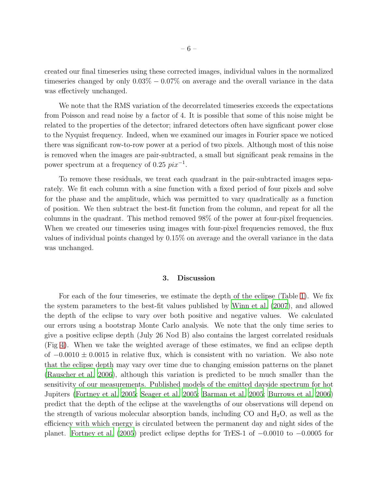created our final timeseries using these corrected images, individual values in the normalized timeseries changed by only  $0.03\% - 0.07\%$  on average and the overall variance in the data was effectively unchanged.

We note that the RMS variation of the decorrelated timeseries exceeds the expectations from Poisson and read noise by a factor of 4. It is possible that some of this noise might be related to the properties of the detector; infrared detectors often have signficant power close to the Nyquist frequency. Indeed, when we examined our images in Fourier space we noticed there was significant row-to-row power at a period of two pixels. Although most of this noise is removed when the images are pair-subtracted, a small but significant peak remains in the power spectrum at a frequency of 0.25  $pix^{-1}$ .

To remove these residuals, we treat each quadrant in the pair-subtracted images separately. We fit each column with a sine function with a fixed period of four pixels and solve for the phase and the amplitude, which was permitted to vary quadratically as a function of position. We then subtract the best-fit function from the column, and repeat for all the columns in the quadrant. This method removed 98% of the power at four-pixel frequencies. When we created our timeseries using images with four-pixel frequencies removed, the flux values of individual points changed by 0.15% on average and the overall variance in the data was unchanged.

## 3. Discussion

For each of the four timeseries, we estimate the depth of the eclipse (Table [1\)](#page-10-0). We fix the system parameters to the best-fit values published by [Winn et al. \(2007](#page-9-3)), and allowed the depth of the eclipse to vary over both positive and negative values. We calculated our errors using a bootstrap Monte Carlo analysis. We note that the only time series to give a positive eclipse depth (July 26 Nod B) also contains the largest correlated residuals (Fig [4\)](#page-14-0). When we take the weighted average of these estimates, we find an eclipse depth of  $-0.0010 \pm 0.0015$  in relative flux, which is consistent with no variation. We also note that the eclipse depth may vary over time due to changing emission patterns on the planet [\(Rauscher et al. 2006](#page-8-12)), although this variation is predicted to be much smaller than the sensitivity of our measurements. Published models of the emitted dayside spectrum for hot Jupiters [\(Fortney et al. 2005](#page-8-13); [Seager et al. 2005;](#page-9-7) [Barman et al. 2005;](#page-8-14) [Burrows et al. 2006\)](#page-8-15) predict that the depth of the eclipse at the wavelengths of our observations will depend on the strength of various molecular absorption bands, including  $CO$  and  $H_2O$ , as well as the efficiency with which energy is circulated between the permanent day and night sides of the planet. [Fortney et al. \(2005](#page-8-13)) predict eclipse depths for TrES-1 of  $-0.0010$  to  $-0.0005$  for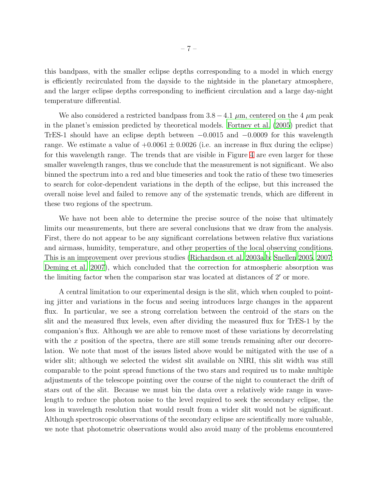this bandpass, with the smaller eclipse depths corresponding to a model in which energy is efficiently recirculated from the dayside to the nightside in the planetary atmosphere, and the larger eclipse depths corresponding to inefficient circulation and a large day-night temperature differential.

We also considered a restricted bandpass from  $3.8 - 4.1 \mu m$ , centered on the 4  $\mu$ m peak in the planet's emission predicted by theoretical models. [Fortney et](#page-8-13) al. [\(2005\)](#page-8-13) predict that TrES-1 should have an eclipse depth between −0.0015 and −0.0009 for this wavelength range. We estimate a value of  $+0.0061 \pm 0.0026$  (i.e. an increase in flux during the eclipse) for this wavelength range. The trends that are visible in Figure [4](#page-14-0) are even larger for these smaller wavelength ranges, thus we conclude that the measurement is not significant. We also binned the spectrum into a red and blue timeseries and took the ratio of these two timeseries to search for color-dependent variations in the depth of the eclipse, but this increased the overall noise level and failed to remove any of the systematic trends, which are different in these two regions of the spectrum.

We have not been able to determine the precise source of the noise that ultimately limits our measurements, but there are several conclusions that we draw from the analysis. First, there do not appear to be any significant correlations between relative flux variations and airmass, humidity, temperature, and other properties of the local observing conditions. This is an improvement over previous studies [\(Richardson et al. 2003a](#page-8-6)[,b](#page-8-7); [Snellen 2005,](#page-9-4) [2007;](#page-9-5) [Deming et al. 2007\)](#page-8-8), which concluded that the correction for atmospheric absorption was the limiting factor when the comparison star was located at distances of 2′ or more.

A central limitation to our experimental design is the slit, which when coupled to pointing jitter and variations in the focus and seeing introduces large changes in the apparent flux. In particular, we see a strong correlation between the centroid of the stars on the slit and the measured flux levels, even after dividing the measured flux for TrES-1 by the companion's flux. Although we are able to remove most of these variations by decorrelating with the x position of the spectra, there are still some trends remaining after our decorrelation. We note that most of the issues listed above would be mitigated with the use of a wider slit; although we selected the widest slit available on NIRI, this slit width was still comparable to the point spread functions of the two stars and required us to make multiple adjustments of the telescope pointing over the course of the night to counteract the drift of stars out of the slit. Because we must bin the data over a relatively wide range in wavelength to reduce the photon noise to the level required to seek the secondary eclipse, the loss in wavelength resolution that would result from a wider slit would not be significant. Although spectroscopic observations of the secondary eclipse are scientifically more valuable, we note that photometric observations would also avoid many of the problems encountered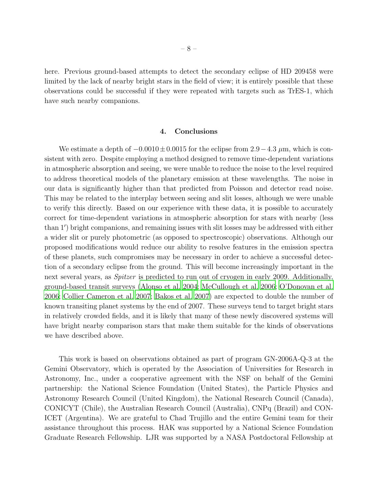here. Previous ground-based attempts to detect the secondary eclipse of HD 209458 were limited by the lack of nearby bright stars in the field of view; it is entirely possible that these observations could be successful if they were repeated with targets such as TrES-1, which have such nearby companions.

#### 4. Conclusions

We estimate a depth of  $-0.0010 \pm 0.0015$  for the eclipse from  $2.9-4.3 \mu$ m, which is consistent with zero. Despite employing a method designed to remove time-dependent variations in atmospheric absorption and seeing, we were unable to reduce the noise to the level required to address theoretical models of the planetary emission at these wavelengths. The noise in our data is significantly higher than that predicted from Poisson and detector read noise. This may be related to the interplay between seeing and slit losses, although we were unable to verify this directly. Based on our experience with these data, it is possible to accurately correct for time-dependent variations in atmospheric absorption for stars with nearby (less than 1′ ) bright companions, and remaining issues with slit losses may be addressed with either a wider slit or purely photometric (as opposed to spectroscopic) observations. Although our proposed modifications would reduce our ability to resolve features in the emission spectra of these planets, such compromises may be necessary in order to achieve a successful detection of a secondary eclipse from the ground. This will become increasingly important in the next several years, as *Spitzer* is predicted to run out of cryogen in early 2009. Additionally, ground-based transit surveys [\(Alonso et al. 2004;](#page-8-4) [McCullough et al. 2006;](#page-8-16) [O'Donovan et al.](#page-8-17) [2006;](#page-8-17) [Collier Cameron et al. 2007;](#page-8-18) [Bakos et al. 2007\)](#page-8-19) are expected to double the number of known transiting planet systems by the end of 2007. These surveys tend to target bright stars in relatively crowded fields, and it is likely that many of these newly discovered systems will have bright nearby comparison stars that make them suitable for the kinds of observations we have described above.

This work is based on observations obtained as part of program GN-2006A-Q-3 at the Gemini Observatory, which is operated by the Association of Universities for Research in Astronomy, Inc., under a cooperative agreement with the NSF on behalf of the Gemini partnership: the National Science Foundation (United States), the Particle Physics and Astronomy Research Council (United Kingdom), the National Research Council (Canada), CONICYT (Chile), the Australian Research Council (Australia), CNPq (Brazil) and CON-ICET (Argentina). We are grateful to Chad Trujillo and the entire Gemini team for their assistance throughout this process. HAK was supported by a National Science Foundation Graduate Research Fellowship. LJR was supported by a NASA Postdoctoral Fellowship at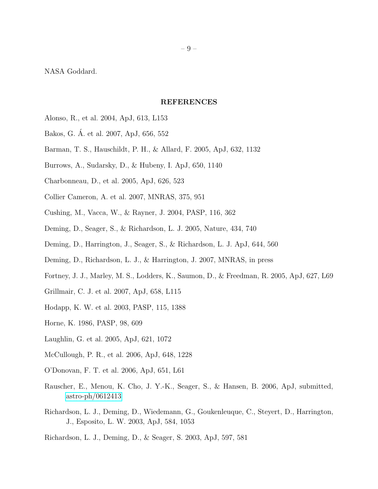NASA Goddard.

# REFERENCES

- <span id="page-8-4"></span>Alonso, R., et al. 2004, ApJ, 613, L153
- <span id="page-8-19"></span>Bakos, G. A. et al. 2007, ApJ, 656, 552 ´
- <span id="page-8-14"></span>Barman, T. S., Hauschildt, P. H., & Allard, F. 2005, ApJ, 632, 1132
- <span id="page-8-15"></span>Burrows, A., Sudarsky, D., & Hubeny, I. ApJ, 650, 1140
- <span id="page-8-2"></span>Charbonneau, D., et al. 2005, ApJ, 626, 523
- <span id="page-8-18"></span>Collier Cameron, A. et al. 2007, MNRAS, 375, 951
- <span id="page-8-11"></span>Cushing, M., Vacca, W., & Rayner, J. 2004, PASP, 116, 362
- <span id="page-8-0"></span>Deming, D., Seager, S., & Richardson, L. J. 2005, Nature, 434, 740
- <span id="page-8-1"></span>Deming, D., Harrington, J., Seager, S., & Richardson, L. J. ApJ, 644, 560
- <span id="page-8-8"></span>Deming, D., Richardson, L. J., & Harrington, J. 2007, MNRAS, in press
- <span id="page-8-13"></span>Fortney, J. J., Marley, M. S., Lodders, K., Saumon, D., & Freedman, R. 2005, ApJ, 627, L69
- <span id="page-8-3"></span>Grillmair, C. J. et al. 2007, ApJ, 658, L115
- <span id="page-8-9"></span>Hodapp, K. W. et al. 2003, PASP, 115, 1388
- <span id="page-8-10"></span>Horne, K. 1986, PASP, 98, 609
- <span id="page-8-5"></span>Laughlin, G. et al. 2005, ApJ, 621, 1072
- <span id="page-8-16"></span>McCullough, P. R., et al. 2006, ApJ, 648, 1228
- <span id="page-8-17"></span>O'Donovan, F. T. et al. 2006, ApJ, 651, L61
- <span id="page-8-12"></span>Rauscher, E., Menou, K. Cho, J. Y.-K., Seager, S., & Hansen, B. 2006, ApJ, submitted, [astro-ph/0612413](http://arxiv.org/abs/astro-ph/0612413)
- <span id="page-8-6"></span>Richardson, L. J., Deming, D., Wiedemann, G., Goukenleuque, C., Steyert, D., Harrington, J., Esposito, L. W. 2003, ApJ, 584, 1053
- <span id="page-8-7"></span>Richardson, L. J., Deming, D., & Seager, S. 2003, ApJ, 597, 581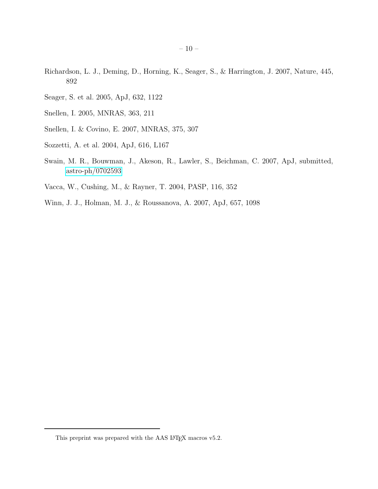- <span id="page-9-0"></span>Richardson, L. J., Deming, D., Horning, K., Seager, S., & Harrington, J. 2007, Nature, 445, 892
- <span id="page-9-7"></span>Seager, S. et al. 2005, ApJ, 632, 1122
- <span id="page-9-4"></span>Snellen, I. 2005, MNRAS, 363, 211
- <span id="page-9-5"></span>Snellen, I. & Covino, E. 2007, MNRAS, 375, 307
- <span id="page-9-2"></span>Sozzetti, A. et al. 2004, ApJ, 616, L167
- <span id="page-9-1"></span>Swain, M. R., Bouwman, J., Akeson, R., Lawler, S., Beichman, C. 2007, ApJ, submitted, [astro-ph/0702593](http://arxiv.org/abs/astro-ph/0702593)
- <span id="page-9-6"></span>Vacca, W., Cushing, M., & Rayner, T. 2004, PASP, 116, 352
- <span id="page-9-3"></span>Winn, J. J., Holman, M. J., & Roussanova, A. 2007, ApJ, 657, 1098

This preprint was prepared with the AAS  $\rm \emph{L4}$  macros v5.2.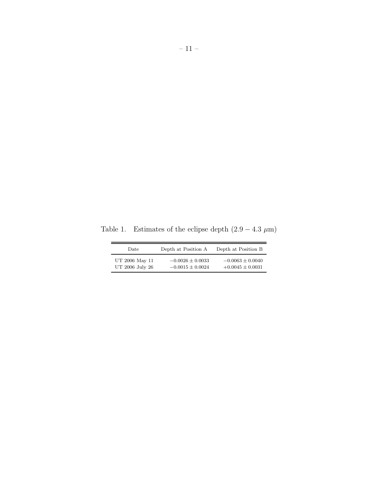Table 1. Estimates of the eclipse depth  $(2.9 - 4.3 \ \mu m)$ 

<span id="page-10-0"></span>

| Date            | Depth at Position A  | Depth at Position B  |
|-----------------|----------------------|----------------------|
| UT 2006 May 11  | $-0.0026 \pm 0.0033$ | $-0.0063 \pm 0.0040$ |
| UT 2006 July 26 | $-0.0015 \pm 0.0024$ | $+0.0045 \pm 0.0031$ |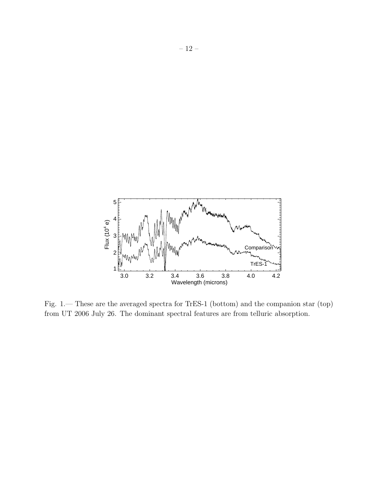

<span id="page-11-0"></span>Fig. 1.— These are the averaged spectra for TrES-1 (bottom) and the companion star (top) from UT 2006 July 26. The dominant spectral features are from telluric absorption.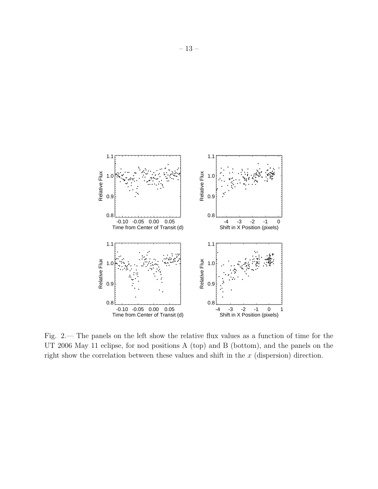

<span id="page-12-0"></span>Fig. 2.— The panels on the left show the relative flux values as a function of time for the UT 2006 May 11 eclipse, for nod positions A (top) and B (bottom), and the panels on the right show the correlation between these values and shift in the  $x$  (dispersion) direction.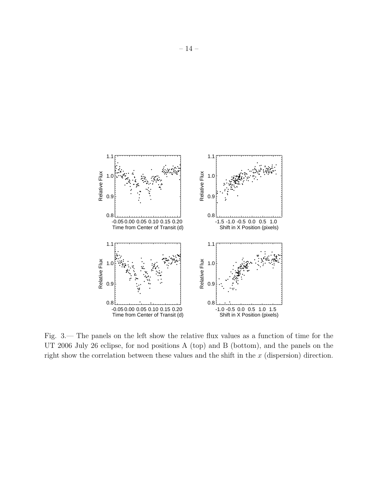

<span id="page-13-0"></span>Fig. 3.— The panels on the left show the relative flux values as a function of time for the UT 2006 July 26 eclipse, for nod positions A (top) and B (bottom), and the panels on the right show the correlation between these values and the shift in the  $x$  (dispersion) direction.